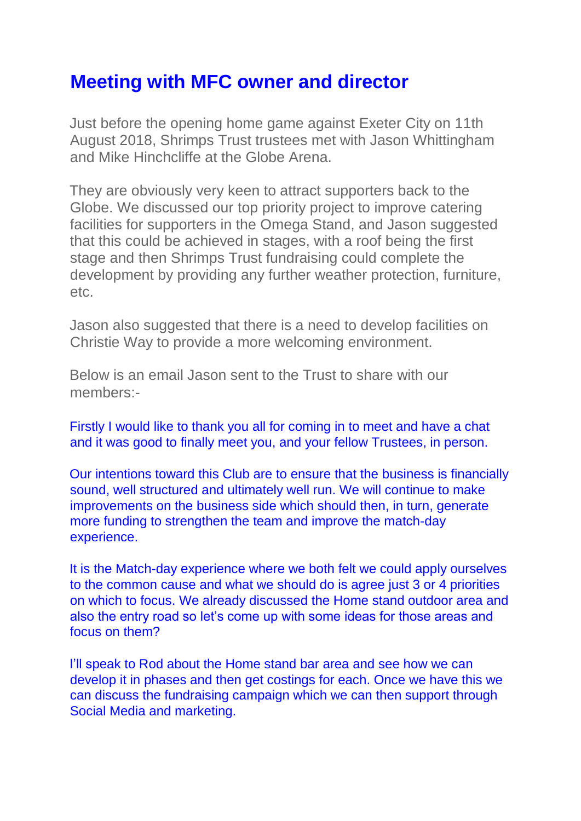## **Meeting with MFC owner and director**

Just before the opening home game against Exeter City on 11th August 2018, Shrimps Trust trustees met with Jason Whittingham and Mike Hinchcliffe at the Globe Arena.

They are obviously very keen to attract supporters back to the Globe. We discussed our top priority project to improve catering facilities for supporters in the Omega Stand, and Jason suggested that this could be achieved in stages, with a roof being the first stage and then Shrimps Trust fundraising could complete the development by providing any further weather protection, furniture, etc.

Jason also suggested that there is a need to develop facilities on Christie Way to provide a more welcoming environment.

Below is an email Jason sent to the Trust to share with our members:-

Firstly I would like to thank you all for coming in to meet and have a chat and it was good to finally meet you, and your fellow Trustees, in person.

Our intentions toward this Club are to ensure that the business is financially sound, well structured and ultimately well run. We will continue to make improvements on the business side which should then, in turn, generate more funding to strengthen the team and improve the match-day experience.

It is the Match-day experience where we both felt we could apply ourselves to the common cause and what we should do is agree just 3 or 4 priorities on which to focus. We already discussed the Home stand outdoor area and also the entry road so let's come up with some ideas for those areas and focus on them?

I'll speak to Rod about the Home stand bar area and see how we can develop it in phases and then get costings for each. Once we have this we can discuss the fundraising campaign which we can then support through Social Media and marketing.